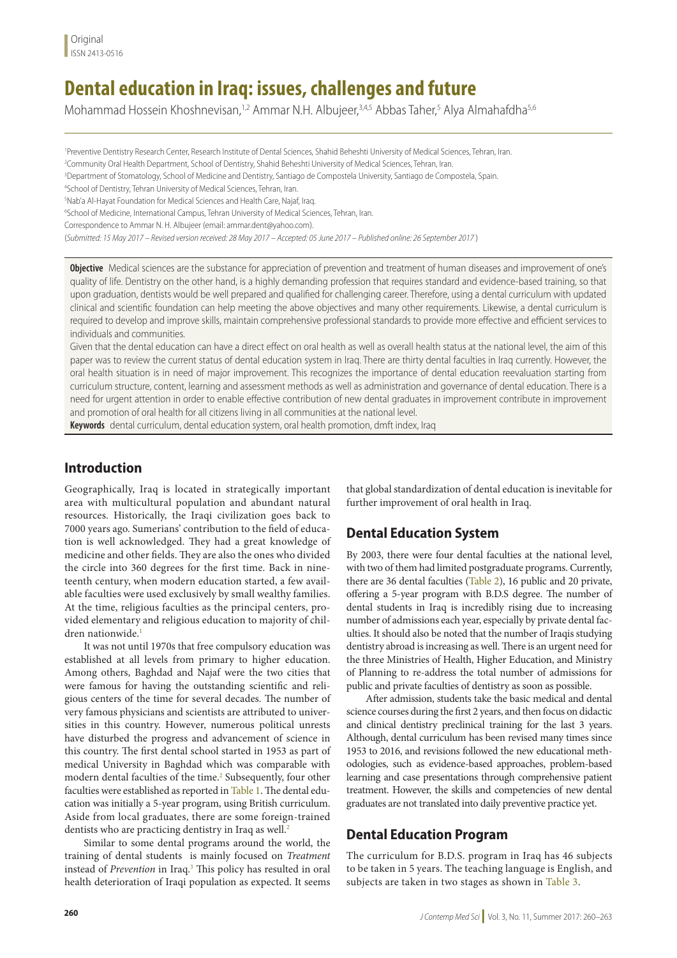# **Dental education in Iraq: issues, challenges and future**

Mohammad Hossein Khoshnevisan,<sup>1,2</sup> Ammar N.H. Albujeer,<sup>3,4,5</sup> Abbas Taher,<sup>5</sup> Alya Almahafdha<sup>5,6</sup>

1 Preventive Dentistry Research Center, Research Institute of Dental Sciences, Shahid Beheshti University of Medical Sciences, Tehran, Iran.

2 Community Oral Health Department, School of Dentistry, Shahid Beheshti University of Medical Sciences, Tehran, Iran.

3 Department of Stomatology, School of Medicine and Dentistry, Santiago de Compostela University, Santiago de Compostela, Spain.

4 School of Dentistry, Tehran University of Medical Sciences, Tehran, Iran.

5 Nab'a Al-Hayat Foundation for Medical Sciences and Health Care, Najaf, Iraq.

6 School of Medicine, International Campus, Tehran University of Medical Sciences, Tehran, Iran.

Correspondence to Ammar N. H. Albujeer (email: ammar.dent@yahoo.com).

(*Submitted: 15 May 2017 – Revised version received: 28 May 2017 – Accepted: 05 June 2017 – Published online: 26 September 2017* )

**Objective** Medical sciences are the substance for appreciation of prevention and treatment of human diseases and improvement of one's quality of life. Dentistry on the other hand, is a highly demanding profession that requires standard and evidence-based training, so that upon graduation, dentists would be well prepared and qualified for challenging career. Therefore, using a dental curriculum with updated clinical and scientific foundation can help meeting the above objectives and many other requirements. Likewise, a dental curriculum is required to develop and improve skills, maintain comprehensive professional standards to provide more effective and efficient services to individuals and communities.

Given that the dental education can have a direct effect on oral health as well as overall health status at the national level, the aim of this paper was to review the current status of dental education system in Iraq. There are thirty dental faculties in Iraq currently. However, the oral health situation is in need of major improvement. This recognizes the importance of dental education reevaluation starting from curriculum structure, content, learning and assessment methods as well as administration and governance of dental education. There is a need for urgent attention in order to enable effective contribution of new dental graduates in improvement contribute in improvement and promotion of oral health for all citizens living in all communities at the national level.

**Keywords** dental curriculum, dental education system, oral health promotion, dmft index, Iraq

# **Introduction**

Geographically, Iraq is located in strategically important area with multicultural population and abundant natural resources. Historically, the Iraqi civilization goes back to 7000 years ago. Sumerians' contribution to the field of education is well acknowledged. They had a great knowledge of medicine and other fields. They are also the ones who divided the circle into 360 degrees for the first time. Back in nineteenth century, when modern education started, a few available faculties were used exclusively by small wealthy families. At the time, religious faculties as the principal centers, provided elementary and religious education to majority of children nationwide.1

It was not until 1970s that free compulsory education was established at all levels from primary to higher education. Among others, Baghdad and Najaf were the two cities that were famous for having the outstanding scientific and religious centers of the time for several decades. The number of very famous physicians and scientists are attributed to universities in this country. However, numerous political unrests have disturbed the progress and advancement of science in this country. The first dental school started in 1953 as part of medical University in Baghdad which was comparable with modern dental faculties of the time.<sup>2</sup> Subsequently, four other faculties were established as reported in Table 1. The dental education was initially a 5-year program, using British curriculum. Aside from local graduates, there are some foreign-trained dentists who are practicing dentistry in Iraq as well.<sup>2</sup>

Similar to some dental programs around the world, the training of dental students is mainly focused on *Treatment*  instead of *Prevention* in Iraq.<sup>3</sup> This policy has resulted in oral health deterioration of Iraqi population as expected. It seems

that global standardization of dental education is inevitable for further improvement of oral health in Iraq.

# **Dental Education System**

By 2003, there were four dental faculties at the national level, with two of them had limited postgraduate programs. Currently, there are 36 dental faculties (Table 2), 16 public and 20 private, offering a 5-year program with B.D.S degree. The number of dental students in Iraq is incredibly rising due to increasing number of admissions each year, especially by private dental faculties. It should also be noted that the number of Iraqis studying dentistry abroad is increasing as well. There is an urgent need for the three Ministries of Health, Higher Education, and Ministry of Planning to re-address the total number of admissions for public and private faculties of dentistry as soon as possible.

After admission, students take the basic medical and dental science courses during the first 2 years, and then focus on didactic and clinical dentistry preclinical training for the last 3 years. Although, dental curriculum has been revised many times since 1953 to 2016, and revisions followed the new educational methodologies, such as evidence-based approaches, problem-based learning and case presentations through comprehensive patient treatment. However, the skills and competencies of new dental graduates are not translated into daily preventive practice yet.

## **Dental Education Program**

The curriculum for B.D.S. program in Iraq has 46 subjects to be taken in 5 years. The teaching language is English, and subjects are taken in two stages as shown in Table 3.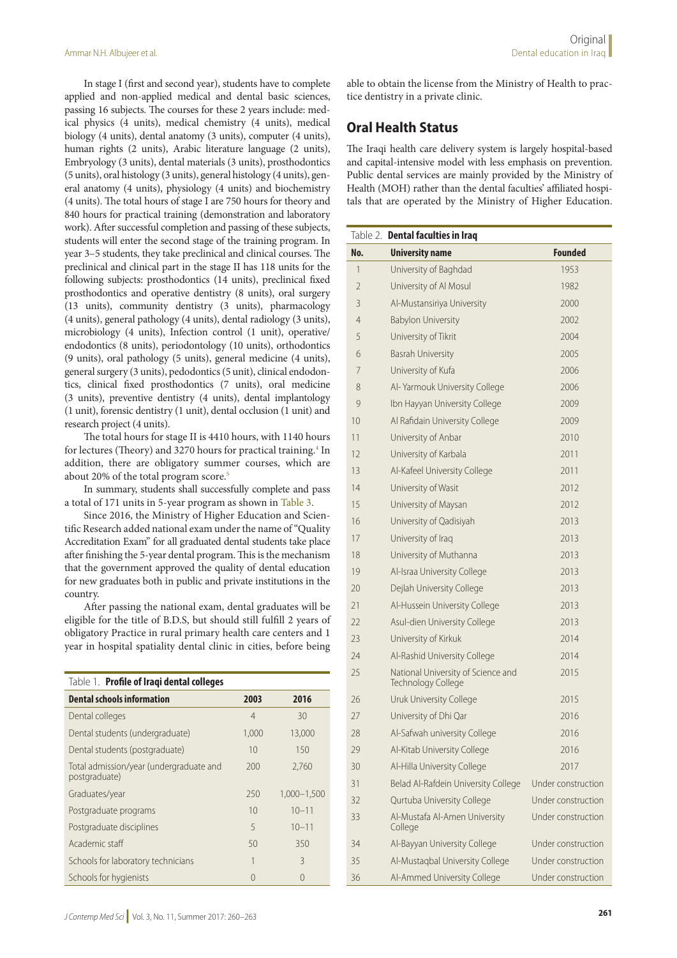In stage I (first and second year), students have to complete applied and non-applied medical and dental basic sciences, passing 16 subjects. The courses for these 2 years include: medical physics (4 units), medical chemistry (4 units), medical biology (4 units), dental anatomy (3 units), computer (4 units), human rights (2 units), Arabic literature language (2 units), Embryology (3 units), dental materials (3 units), prosthodontics (5 units), oral histology (3 units), general histology (4 units), general anatomy (4 units), physiology (4 units) and biochemistry (4 units). The total hours of stage I are 750 hours for theory and 840 hours for practical training (demonstration and laboratory work). After successful completion and passing of these subjects, students will enter the second stage of the training program. In year 3–5 students, they take preclinical and clinical courses. The preclinical and clinical part in the stage II has 118 units for the following subjects: prosthodontics (14 units), preclinical fixed prosthodontics and operative dentistry (8 units), oral surgery (13 units), community dentistry (3 units), pharmacology (4 units), general pathology (4 units), dental radiology (3 units), microbiology (4 units), Infection control (1 unit), operative/ endodontics (8 units), periodontology (10 units), orthodontics (9 units), oral pathology (5 units), general medicine (4 units), general surgery (3 units), pedodontics (5 unit), clinical endodontics, clinical fixed prosthodontics (7 units), oral medicine (3 units), preventive dentistry (4 units), dental implantology (1 unit), forensic dentistry (1 unit), dental occlusion (1 unit) and research project (4 units).

The total hours for stage II is 4410 hours, with 1140 hours for lectures (Theory) and 3270 hours for practical training.<sup>4</sup> In addition, there are obligatory summer courses, which are about 20% of the total program score.<sup>5</sup>

In summary, students shall successfully complete and pass a total of 171 units in 5-year program as shown in Table 3.

Since 2016, the Ministry of Higher Education and Scientific Research added national exam under the name of "Quality Accreditation Exam" for all graduated dental students take place after finishing the 5-year dental program. This is the mechanism that the government approved the quality of dental education for new graduates both in public and private institutions in the country.

After passing the national exam, dental graduates will be eligible for the title of B.D.S, but should still fulfill 2 years of obligatory Practice in rural primary health care centers and 1 year in hospital spatiality dental clinic in cities, before being

| Table 1. Profile of Iraqi dental colleges                |                  |                 |
|----------------------------------------------------------|------------------|-----------------|
| <b>Dental schools information</b>                        | 2003             | 2016            |
| Dental colleges                                          | $\overline{4}$   | 30              |
| Dental students (undergraduate)                          | 1,000            | 13,000          |
| Dental students (postgraduate)                           | 10               | 150             |
| Total admission/year (undergraduate and<br>postgraduate) | 200              | 2,760           |
| Graduates/year                                           | 250              | $1,000 - 1,500$ |
| Postgraduate programs                                    | 10               | $10 - 11$       |
| Postgraduate disciplines                                 | 5                | $10 - 11$       |
| Academic staff                                           | 50               | 350             |
| Schools for laboratory technicians                       |                  | 3               |
| Schools for hygienists                                   | $\left( \right)$ | $\bigcap$       |

able to obtain the license from the Ministry of Health to practice dentistry in a private clinic.

### **Oral Health Status**

The Iraqi health care delivery system is largely hospital-based and capital-intensive model with less emphasis on prevention. Public dental services are mainly provided by the Ministry of Health (MOH) rather than the dental faculties' affiliated hospitals that are operated by the Ministry of Higher Education.

|                | Table 2. Dental faculties in Iraq                               |                    |
|----------------|-----------------------------------------------------------------|--------------------|
| No.            | <b>University name</b>                                          | <b>Founded</b>     |
| 1              | University of Baghdad                                           | 1953               |
| $\overline{2}$ | University of Al Mosul                                          | 1982               |
| 3              | Al-Mustansiriya University                                      | 2000               |
| $\overline{4}$ | <b>Babylon University</b>                                       | 2002               |
| 5              | University of Tikrit                                            | 2004               |
| 6              | <b>Basrah University</b>                                        | 2005               |
| 7              | University of Kufa                                              | 2006               |
| 8              | Al-Yarmouk University College                                   | 2006               |
| 9              | Ibn Hayyan University College                                   | 2009               |
| 10             | Al Rafidain University College                                  | 2009               |
| 11             | University of Anbar                                             | 2010               |
| 12             | University of Karbala                                           | 2011               |
| 13             | Al-Kafeel University College                                    | 2011               |
| 14             | University of Wasit                                             | 2012               |
| 15             | University of Maysan                                            | 2012               |
| 16             | University of Qadisiyah                                         | 2013               |
| 17             | University of Iraq                                              | 2013               |
| 18             | University of Muthanna                                          | 2013               |
| 19             | Al-Israa University College                                     | 2013               |
| 20             | Dejlah University College                                       | 2013               |
| 21             | Al-Hussein University College                                   | 2013               |
| 22             | Asul-dien University College                                    | 2013               |
| 23             | University of Kirkuk                                            | 2014               |
| 24             | Al-Rashid University College                                    | 2014               |
| 25             | National University of Science and<br><b>Technology College</b> | 2015               |
| 26             | Uruk University College                                         | 2015               |
| 27             | University of Dhi Qar                                           | 2016               |
| 28             | Al-Safwah university College                                    | 2016               |
| 29             | Al-Kitab University College                                     | 2016               |
| 30             | Al-Hilla University College                                     | 2017               |
| 31             | Belad Al-Rafdein University College                             | Under construction |
| 32             | Qurtuba University College                                      | Under construction |
| 33             | Al-Mustafa Al-Amen University<br>College                        | Under construction |
| 34             | Al-Bayyan University College                                    | Under construction |
| 35             | Al-Mustaqbal University College                                 | Under construction |
| 36             | Al-Ammed University College                                     | Under construction |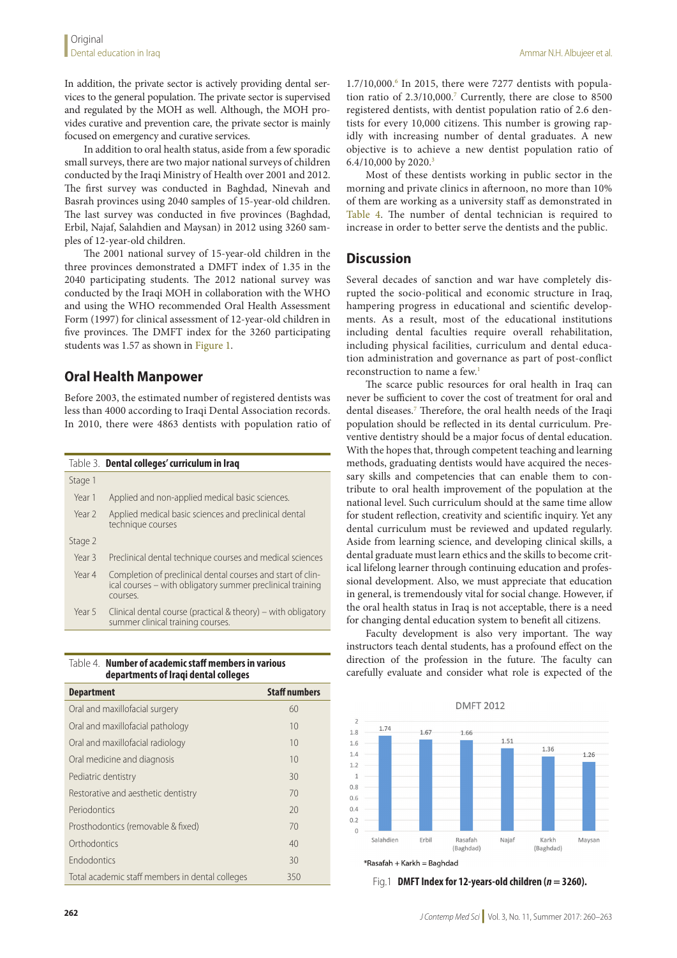In addition, the private sector is actively providing dental services to the general population. The private sector is supervised and regulated by the MOH as well. Although, the MOH provides curative and prevention care, the private sector is mainly focused on emergency and curative services.

In addition to oral health status, aside from a few sporadic small surveys, there are two major national surveys of children conducted by the Iraqi Ministry of Health over 2001 and 2012. The first survey was conducted in Baghdad, Ninevah and Basrah provinces using 2040 samples of 15-year-old children. The last survey was conducted in five provinces (Baghdad, Erbil, Najaf, Salahdien and Maysan) in 2012 using 3260 samples of 12-year-old children.

The 2001 national survey of 15-year-old children in the three provinces demonstrated a DMFT index of 1.35 in the 2040 participating students. The 2012 national survey was conducted by the Iraqi MOH in collaboration with the WHO and using the WHO recommended Oral Health Assessment Form (1997) for clinical assessment of 12-year-old children in five provinces. The DMFT index for the 3260 participating students was 1.57 as shown in Figure 1.

#### **Oral Health Manpower**

Before 2003, the estimated number of registered dentists was less than 4000 according to Iraqi Dental Association records. In 2010, there were 4863 dentists with population ratio of

|                   | Table 3. Dental colleges' curriculum in Iraq                                                                                          |
|-------------------|---------------------------------------------------------------------------------------------------------------------------------------|
| Stage 1           |                                                                                                                                       |
| Year 1            | Applied and non-applied medical basic sciences.                                                                                       |
| Year <sub>2</sub> | Applied medical basic sciences and preclinical dental<br>technique courses                                                            |
| Stage 2           |                                                                                                                                       |
| Year 3            | Preclinical dental technique courses and medical sciences                                                                             |
| Year 4            | Completion of preclinical dental courses and start of clin-<br>ical courses – with obligatory summer preclinical training<br>courses. |
| Year 5            | Clinical dental course (practical $&$ theory) – with obligatory<br>summer clinical training courses.                                  |

| NAMIN'S OF ASAASIMIS JUAN MISMOS IJ VANDAJ<br>departments of Iraqi dental colleges |                      |  |  |
|------------------------------------------------------------------------------------|----------------------|--|--|
| <b>Department</b>                                                                  | <b>Staff numbers</b> |  |  |
| Oral and maxillofacial surgery                                                     | 60                   |  |  |
| Oral and maxillofacial pathology                                                   | 10                   |  |  |
| Oral and maxillofacial radiology                                                   | 10                   |  |  |
| Oral medicine and diagnosis                                                        | 10                   |  |  |
| Pediatric dentistry                                                                | 30                   |  |  |
| Restorative and aesthetic dentistry                                                | 70                   |  |  |
| Periodontics                                                                       | 20                   |  |  |
| Prosthodontics (removable & fixed)                                                 | 70                   |  |  |
| Orthodontics                                                                       | 40                   |  |  |
| <b>Endodontics</b>                                                                 | 30                   |  |  |
| Total academic staff members in dental colleges                                    | 350                  |  |  |

Table 4. **Number of academic staff members in various** 

1.7/10,000.6 In 2015, there were 7277 dentists with population ratio of 2.3/10,000.7 Currently, there are close to 8500 registered dentists, with dentist population ratio of 2.6 dentists for every 10,000 citizens. This number is growing rapidly with increasing number of dental graduates. A new objective is to achieve a new dentist population ratio of 6.4/10,000 by 2020.<sup>3</sup>

Most of these dentists working in public sector in the morning and private clinics in afternoon, no more than 10% of them are working as a university staff as demonstrated in Table 4. The number of dental technician is required to increase in order to better serve the dentists and the public.

#### **Discussion**

Several decades of sanction and war have completely disrupted the socio-political and economic structure in Iraq, hampering progress in educational and scientific developments. As a result, most of the educational institutions including dental faculties require overall rehabilitation, including physical facilities, curriculum and dental education administration and governance as part of post-conflict reconstruction to name a few.<sup>1</sup>

The scarce public resources for oral health in Iraq can never be sufficient to cover the cost of treatment for oral and dental diseases.7 Therefore, the oral health needs of the Iraqi population should be reflected in its dental curriculum. Preventive dentistry should be a major focus of dental education. With the hopes that, through competent teaching and learning methods, graduating dentists would have acquired the necessary skills and competencies that can enable them to contribute to oral health improvement of the population at the national level. Such curriculum should at the same time allow for student reflection, creativity and scientific inquiry. Yet any dental curriculum must be reviewed and updated regularly. Aside from learning science, and developing clinical skills, a dental graduate must learn ethics and the skills to become critical lifelong learner through continuing education and professional development. Also, we must appreciate that education in general, is tremendously vital for social change. However, if the oral health status in Iraq is not acceptable, there is a need for changing dental education system to benefit all citizens.

Faculty development is also very important. The way instructors teach dental students, has a profound effect on the direction of the profession in the future. The faculty can carefully evaluate and consider what role is expected of the



Fig.1 **DMFT Index for 12-years-old children (***n* **= 3260).**